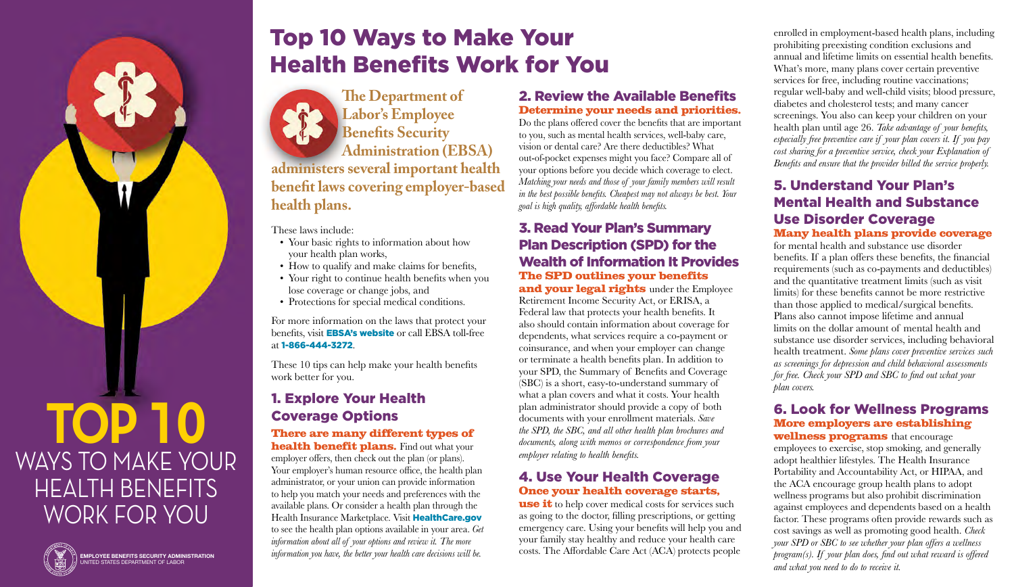# Top 10 Ways to Make Your Health Benefits Work for You

**The Department of Labor's Employee Benefits Security Administration (EBSA) administers several important health benefit laws covering employer-based health plans.**

These laws include:

- Your basic rights to information about how your health plan works,
- How to qualify and make claims for benefits,
- Your right to continue health benefits when you lose coverage or change jobs, and
- Protections for special medical conditions.

For more information on the laws that protect your benefits, visit **[EBSA's website](https://www.dol.gov/agencies/ebsa)** or call EBSA toll-free at 1-866-444-3272.

These 10 tips can help make your health benefits work better for you.

# 1. Explore Your Health Coverage Options

**There are many different types of health benefit plans.** Find out what your employer offers, then check out the plan (or plans). Your employer's human resource office, the health plan administrator, or your union can provide information to help you match your needs and preferences with the available plans. Or consider a health plan through the Health Insurance Marketplace. Visit [HealthCare.gov](https://www.healthcare.gov/) to see the health plan options available in your area. *Get information about all of your options and review it. The more information you have, the better your health care decisions will be.*

#### 2. Review the Available Benefits **Determine your needs and priorities.**

Do the plans offered cover the benefits that are important to you, such as mental health services, well-baby care, vision or dental care? Are there deductibles? What out-of-pocket expenses might you face? Compare all of your options before you decide which coverage to elect. *Matching your needs and those of your family members will result in the best possible benefits. Cheapest may not always be best. Your goal is high quality, affordable health benefits.*

## 3. Read Your Plan's Summary Plan Description (SPD) for the Wealth of Information It Provides **The SPD outlines your benefits**

**and your legal rights** under the Employee Retirement Income Security Act, or ERISA, a Federal law that protects your health benefits. It also should contain information about coverage for dependents, what services require a co-payment or coinsurance, and when your employer can change or terminate a health benefits plan. In addition to your SPD, the Summary of Benefits and Coverage (SBC) is a short, easy-to-understand summary of what a plan covers and what it costs. Your health plan administrator should provide a copy of both documents with your enrollment materials. *Save the SPD, the SBC, and all other health plan brochures and documents, along with memos or correspondence from your employer relating to health benefits.*

## 4. Use Your Health Coverage **Once your health coverage starts,**

**use it** to help cover medical costs for services such as going to the doctor, filling prescriptions, or getting emergency care. Using your benefits will help you and your family stay healthy and reduce your health care costs. The Affordable Care Act (ACA) protects people

enrolled in employment-based health plans, including prohibiting preexisting condition exclusions and annual and lifetime limits on essential health benefits. What's more, many plans cover certain preventive services for free, including routine vaccinations; regular well-baby and well-child visits; blood pressure, diabetes and cholesterol tests; and many cancer screenings. You also can keep your children on your health plan until age 26. *Take advantage of your benefits, especially free preventive care if your plan covers it. If you pay cost sharing for a preventive service, check your Explanation of Benefits and ensure that the provider billed the service properly.*

## 5. Understand Your Plan's Mental Health and Substance Use Disorder Coverage **Many health plans provide coverage**

for mental health and substance use disorder benefits. If a plan offers these benefits, the financial requirements (such as co-payments and deductibles) and the quantitative treatment limits (such as visit limits) for these benefits cannot be more restrictive than those applied to medical/surgical benefits. Plans also cannot impose lifetime and annual limits on the dollar amount of mental health and substance use disorder services, including behavioral health treatment. *Some plans cover preventive services such as screenings for depression and child behavioral assessments for free. Check your SPD and SBC to find out what your plan covers.*

## 6. Look for Wellness Programs **More employers are establishing**

**wellness programs** that encourage employees to exercise, stop smoking, and generally adopt healthier lifestyles. The Health Insurance Portability and Accountability Act, or HIPAA, and the ACA encourage group health plans to adopt wellness programs but also prohibit discrimination against employees and dependents based on a health factor. These programs often provide rewards such as cost savings as well as promoting good health. *Check your SPD or SBC to see whether your plan offers a wellness program(s). If your plan does, find out what reward is offered and what you need to do to receive it.*